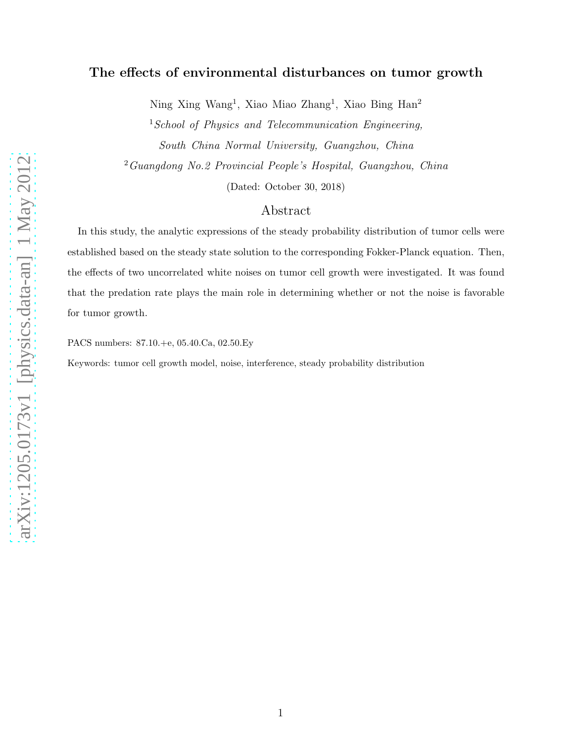# The effects of environmental disturbances on tumor growth

Ning Xing Wang<sup>1</sup>, Xiao Miao Zhang<sup>1</sup>, Xiao Bing Han<sup>2</sup>

 $1$ School of Physics and Telecommunication Engineering, South China Normal University, Guangzhou, China <sup>2</sup>Guangdong No.2 Provincial People's Hospital, Guangzhou, China

(Dated: October 30, 2018)

# Abstract

In this study, the analytic expressions of the steady probability distribution of tumor cells were established based on the steady state solution to the corresponding Fokker-Planck equation. Then, the effects of two uncorrelated white noises on tumor cell growth were investigated. It was found that the predation rate plays the main role in determining whether or not the noise is favorable for tumor growth.

PACS numbers: 87.10.+e, 05.40.Ca, 02.50.Ey

Keywords: tumor cell growth model, noise, interference, steady probability distribution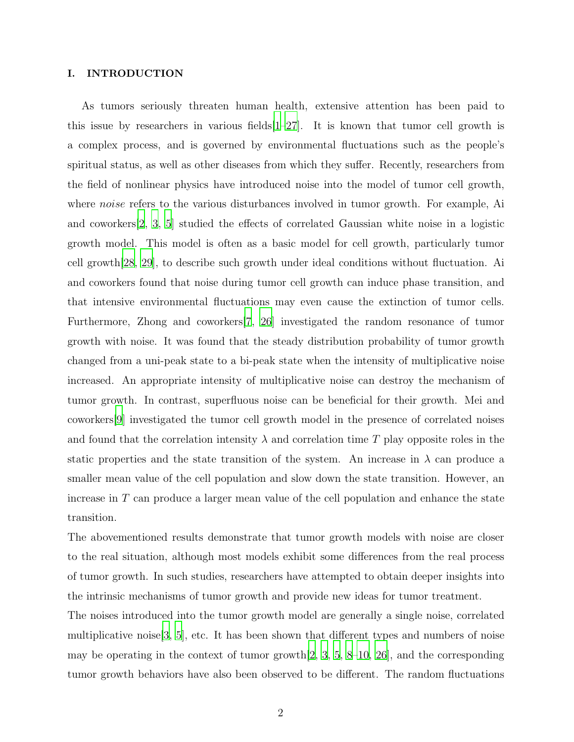### I. INTRODUCTION

As tumors seriously threaten human health, extensive attention has been paid to this issue by researchers in various fields  $|1-27|$ . It is known that tumor cell growth is a complex process, and is governed by environmental fluctuations such as the people's spiritual status, as well as other diseases from which they suffer. Recently, researchers from the field of nonlinear physics have introduced noise into the model of tumor cell growth, where *noise* refers to the various disturbances involved in tumor growth. For example, Ai and coworkers[\[2](#page-11-1), [3,](#page-11-2) [5\]](#page-11-3) studied the effects of correlated Gaussian white noise in a logistic growth model. This model is often as a basic model for cell growth, particularly tumor cell growth[\[28,](#page-12-1) [29\]](#page-12-2), to describe such growth under ideal conditions without fluctuation. Ai and coworkers found that noise during tumor cell growth can induce phase transition, and that intensive environmental fluctuations may even cause the extinction of tumor cells. Furthermore, Zhong and coworkers[\[7](#page-11-4), [26\]](#page-12-3) investigated the random resonance of tumor growth with noise. It was found that the steady distribution probability of tumor growth changed from a uni-peak state to a bi-peak state when the intensity of multiplicative noise increased. An appropriate intensity of multiplicative noise can destroy the mechanism of tumor growth. In contrast, superfluous noise can be beneficial for their growth. Mei and coworkers[\[9](#page-11-5)] investigated the tumor cell growth model in the presence of correlated noises and found that the correlation intensity  $\lambda$  and correlation time T play opposite roles in the static properties and the state transition of the system. An increase in  $\lambda$  can produce a smaller mean value of the cell population and slow down the state transition. However, an increase in  $T$  can produce a larger mean value of the cell population and enhance the state transition.

The abovementioned results demonstrate that tumor growth models with noise are closer to the real situation, although most models exhibit some differences from the real process of tumor growth. In such studies, researchers have attempted to obtain deeper insights into the intrinsic mechanisms of tumor growth and provide new ideas for tumor treatment.

The noises introduced into the tumor growth model are generally a single noise, correlated multiplicative noise[\[3](#page-11-2), [5\]](#page-11-3), etc. It has been shown that different types and numbers of noise may be operating in the context of tumor growth $[2, 3, 5, 8-10, 26]$  $[2, 3, 5, 8-10, 26]$  $[2, 3, 5, 8-10, 26]$  $[2, 3, 5, 8-10, 26]$  $[2, 3, 5, 8-10, 26]$  $[2, 3, 5, 8-10, 26]$  $[2, 3, 5, 8-10, 26]$ , and the corresponding tumor growth behaviors have also been observed to be different. The random fluctuations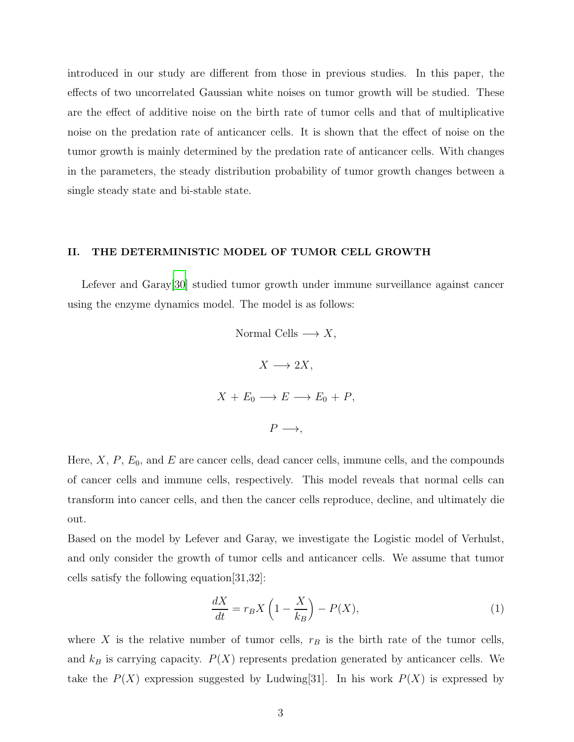introduced in our study are different from those in previous studies. In this paper, the effects of two uncorrelated Gaussian white noises on tumor growth will be studied. These are the effect of additive noise on the birth rate of tumor cells and that of multiplicative noise on the predation rate of anticancer cells. It is shown that the effect of noise on the tumor growth is mainly determined by the predation rate of anticancer cells. With changes in the parameters, the steady distribution probability of tumor growth changes between a single steady state and bi-stable state.

### II. THE DETERMINISTIC MODEL OF TUMOR CELL GROWTH

Lefever and Garay[\[30\]](#page-12-4) studied tumor growth under immune surveillance against cancer using the enzyme dynamics model. The model is as follows:

> Normal Cells  $\longrightarrow X$ ,  $X \longrightarrow 2X$ ,  $X + E_0 \longrightarrow E \longrightarrow E_0 + P$ ,  $P \longrightarrow$ ,

Here,  $X$ ,  $P$ ,  $E_0$ , and  $E$  are cancer cells, dead cancer cells, immune cells, and the compounds of cancer cells and immune cells, respectively. This model reveals that normal cells can transform into cancer cells, and then the cancer cells reproduce, decline, and ultimately die out.

Based on the model by Lefever and Garay, we investigate the Logistic model of Verhulst, and only consider the growth of tumor cells and anticancer cells. We assume that tumor cells satisfy the following equation[31,32]:

$$
\frac{dX}{dt} = r_B X \left( 1 - \frac{X}{k_B} \right) - P(X),\tag{1}
$$

where X is the relative number of tumor cells,  $r_B$  is the birth rate of the tumor cells, and  $k_B$  is carrying capacity.  $P(X)$  represents predation generated by anticancer cells. We take the  $P(X)$  expression suggested by Ludwing[31]. In his work  $P(X)$  is expressed by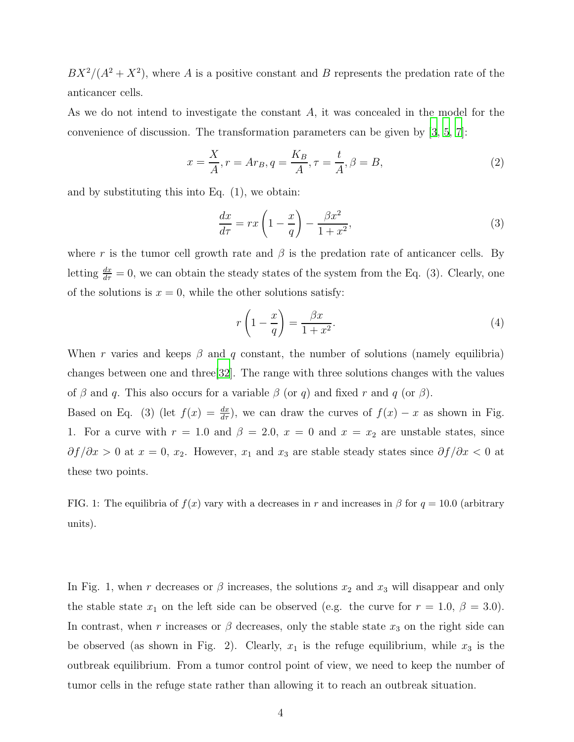$BX^2/(A^2+X^2)$ , where A is a positive constant and B represents the predation rate of the anticancer cells.

As we do not intend to investigate the constant A, it was concealed in the model for the convenience of discussion. The transformation parameters can be given by [\[3](#page-11-2), [5,](#page-11-3) [7](#page-11-4)]:

$$
x = \frac{X}{A}, r = Ar_B, q = \frac{K_B}{A}, \tau = \frac{t}{A}, \beta = B,
$$
\n(2)

and by substituting this into Eq. (1), we obtain:

$$
\frac{dx}{d\tau} = rx\left(1 - \frac{x}{q}\right) - \frac{\beta x^2}{1 + x^2},\tag{3}
$$

where r is the tumor cell growth rate and  $\beta$  is the predation rate of anticancer cells. By letting  $\frac{dx}{d\tau} = 0$ , we can obtain the steady states of the system from the Eq. (3). Clearly, one of the solutions is  $x = 0$ , while the other solutions satisfy:

$$
r\left(1-\frac{x}{q}\right) = \frac{\beta x}{1+x^2}.\tag{4}
$$

When r varies and keeps  $\beta$  and q constant, the number of solutions (namely equilibria) changes between one and three[\[32](#page-13-0)]. The range with three solutions changes with the values of β and q. This also occurs for a variable  $\beta$  (or q) and fixed r and q (or  $\beta$ ).

Based on Eq. (3) (let  $f(x) = \frac{dx}{d\tau}$ ), we can draw the curves of  $f(x) - x$  as shown in Fig. 1. For a curve with  $r = 1.0$  and  $\beta = 2.0$ ,  $x = 0$  and  $x = x_2$  are unstable states, since  $\partial f/\partial x > 0$  at  $x = 0$ ,  $x_2$ . However,  $x_1$  and  $x_3$  are stable steady states since  $\partial f/\partial x < 0$  at these two points.

FIG. 1: The equilibria of  $f(x)$  vary with a decreases in r and increases in  $\beta$  for  $q = 10.0$  (arbitrary units).

In Fig. 1, when r decreases or  $\beta$  increases, the solutions  $x_2$  and  $x_3$  will disappear and only the stable state  $x_1$  on the left side can be observed (e.g. the curve for  $r = 1.0, \beta = 3.0$ ). In contrast, when r increases or  $\beta$  decreases, only the stable state  $x_3$  on the right side can be observed (as shown in Fig. 2). Clearly,  $x_1$  is the refuge equilibrium, while  $x_3$  is the outbreak equilibrium. From a tumor control point of view, we need to keep the number of tumor cells in the refuge state rather than allowing it to reach an outbreak situation.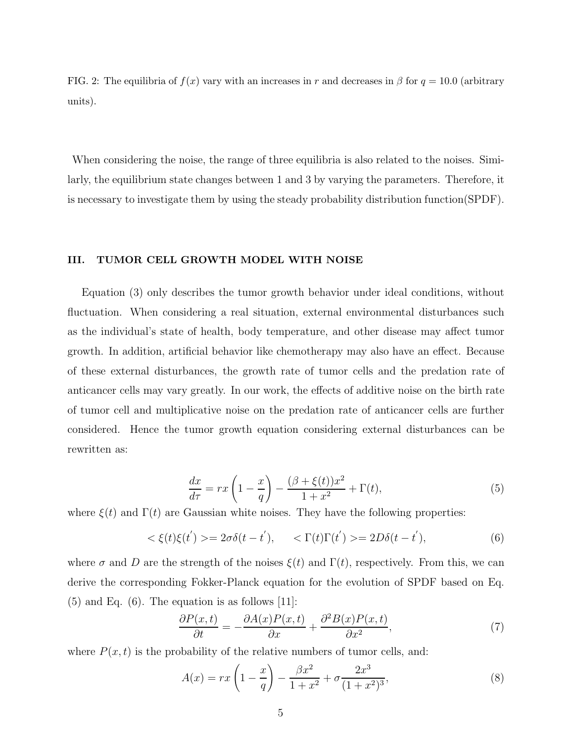FIG. 2: The equilibria of  $f(x)$  vary with an increases in r and decreases in  $\beta$  for  $q = 10.0$  (arbitrary units).

When considering the noise, the range of three equilibria is also related to the noises. Similarly, the equilibrium state changes between 1 and 3 by varying the parameters. Therefore, it is necessary to investigate them by using the steady probability distribution function(SPDF).

### III. TUMOR CELL GROWTH MODEL WITH NOISE

Equation (3) only describes the tumor growth behavior under ideal conditions, without fluctuation. When considering a real situation, external environmental disturbances such as the individual's state of health, body temperature, and other disease may affect tumor growth. In addition, artificial behavior like chemotherapy may also have an effect. Because of these external disturbances, the growth rate of tumor cells and the predation rate of anticancer cells may vary greatly. In our work, the effects of additive noise on the birth rate of tumor cell and multiplicative noise on the predation rate of anticancer cells are further considered. Hence the tumor growth equation considering external disturbances can be rewritten as:

$$
\frac{dx}{d\tau} = rx\left(1 - \frac{x}{q}\right) - \frac{(\beta + \xi(t))x^2}{1 + x^2} + \Gamma(t),\tag{5}
$$

where  $\xi(t)$  and  $\Gamma(t)$  are Gaussian white noises. They have the following properties:

$$
\langle \xi(t)\xi(t') \rangle = 2\sigma\delta(t-t'), \quad \langle \Gamma(t)\Gamma(t') \rangle = 2D\delta(t-t'), \tag{6}
$$

where  $\sigma$  and D are the strength of the noises  $\xi(t)$  and  $\Gamma(t)$ , respectively. From this, we can derive the corresponding Fokker-Planck equation for the evolution of SPDF based on Eq.  $(5)$  and Eq.  $(6)$ . The equation is as follows [11]:

$$
\frac{\partial P(x,t)}{\partial t} = -\frac{\partial A(x)P(x,t)}{\partial x} + \frac{\partial^2 B(x)P(x,t)}{\partial x^2},\tag{7}
$$

where  $P(x, t)$  is the probability of the relative numbers of tumor cells, and:

$$
A(x) = rx\left(1 - \frac{x}{q}\right) - \frac{\beta x^2}{1 + x^2} + \sigma \frac{2x^3}{(1 + x^2)^3},\tag{8}
$$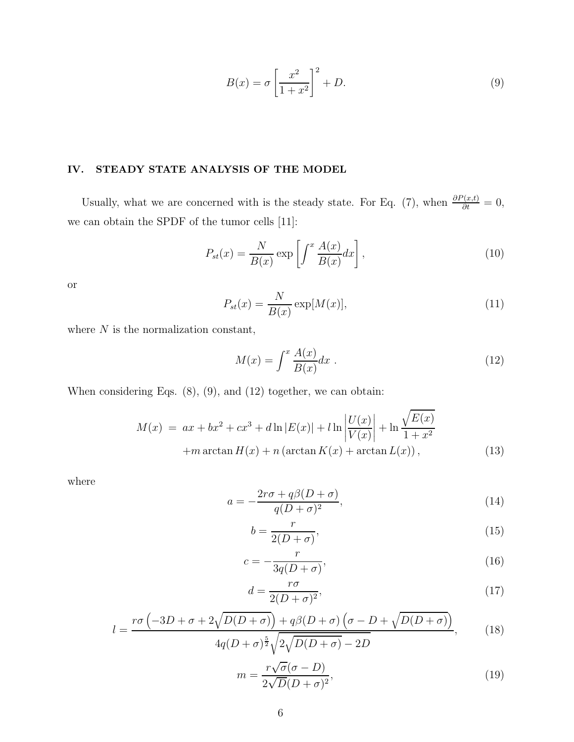$$
B(x) = \sigma \left[\frac{x^2}{1+x^2}\right]^2 + D. \tag{9}
$$

## IV. STEADY STATE ANALYSIS OF THE MODEL

Usually, what we are concerned with is the steady state. For Eq. (7), when  $\frac{\partial P(x,t)}{\partial t} = 0$ , we can obtain the SPDF of the tumor cells [11]:

$$
P_{st}(x) = \frac{N}{B(x)} \exp\left[\int^x \frac{A(x)}{B(x)} dx\right],\tag{10}
$$

or

$$
P_{st}(x) = \frac{N}{B(x)} \exp[M(x)],\tag{11}
$$

where  $N$  is the normalization constant,

$$
M(x) = \int^x \frac{A(x)}{B(x)} dx . \tag{12}
$$

When considering Eqs.  $(8)$ ,  $(9)$ , and  $(12)$  together, we can obtain:

$$
M(x) = ax + bx^{2} + cx^{3} + d\ln|E(x)| + l\ln\left|\frac{U(x)}{V(x)}\right| + \ln\frac{\sqrt{E(x)}}{1 + x^{2}} + m\arctan H(x) + n\left(\arctan K(x) + \arctan L(x)\right),
$$
\n(13)

where

 $\boldsymbol{l}$ 

$$
a = -\frac{2r\sigma + q\beta(D+\sigma)}{q(D+\sigma)^2},\tag{14}
$$

$$
b = \frac{r}{2(D+\sigma)},\tag{15}
$$

$$
c = -\frac{r}{3q(D+\sigma)},\tag{16}
$$

$$
d = \frac{r\sigma}{2(D+\sigma)^2},\tag{17}
$$

$$
=\frac{r\sigma\left(-3D+\sigma+2\sqrt{D(D+\sigma)}\right)+q\beta(D+\sigma)\left(\sigma-D+\sqrt{D(D+\sigma)}\right)}{4q(D+\sigma)^{\frac{5}{2}}\sqrt{2\sqrt{D(D+\sigma)}-2D}},\qquad(18)
$$

$$
m = \frac{r\sqrt{\sigma}(\sigma - D)}{2\sqrt{D}(D + \sigma)^2},\tag{19}
$$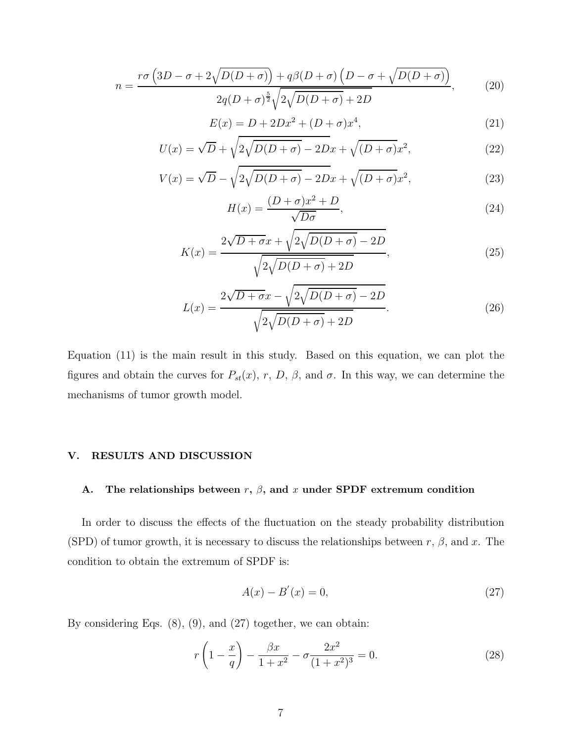$$
n = \frac{r\sigma \left(3D - \sigma + 2\sqrt{D(D + \sigma)}\right) + q\beta(D + \sigma)\left(D - \sigma + \sqrt{D(D + \sigma)}\right)}{2q(D + \sigma)^{\frac{5}{2}}\sqrt{2\sqrt{D(D + \sigma)} + 2D}},\tag{20}
$$

$$
E(x) = D + 2Dx^{2} + (D + \sigma)x^{4},
$$
\n(21)

$$
U(x) = \sqrt{D} + \sqrt{2\sqrt{D(D+\sigma)} - 2Dx + \sqrt{(D+\sigma)}x^2},
$$
\n(22)

$$
V(x) = \sqrt{D} - \sqrt{2\sqrt{D(D+\sigma)} - 2Dx + \sqrt{(D+\sigma)}x^2},
$$
\n(23)

$$
H(x) = \frac{(D+\sigma)x^2 + D}{\sqrt{D\sigma}},
$$
\n(24)

$$
K(x) = \frac{2\sqrt{D + \sigma}x + \sqrt{2\sqrt{D(D + \sigma)} - 2D}}{\sqrt{2\sqrt{D(D + \sigma)} + 2D}},
$$
\n(25)

$$
L(x) = \frac{2\sqrt{D + \sigma}x - \sqrt{2\sqrt{D(D + \sigma)} - 2D}}{\sqrt{2\sqrt{D(D + \sigma)} + 2D}}.
$$
\n(26)

Equation (11) is the main result in this study. Based on this equation, we can plot the figures and obtain the curves for  $P_{st}(x)$ , r, D,  $\beta$ , and  $\sigma$ . In this way, we can determine the mechanisms of tumor growth model.

## V. RESULTS AND DISCUSSION

# A. The relationships between  $r$ ,  $\beta$ , and x under SPDF extremum condition

In order to discuss the effects of the fluctuation on the steady probability distribution (SPD) of tumor growth, it is necessary to discuss the relationships between  $r$ ,  $\beta$ , and x. The condition to obtain the extremum of SPDF is:

$$
A(x) - B'(x) = 0,
$$
\n(27)

By considering Eqs.  $(8)$ ,  $(9)$ , and  $(27)$  together, we can obtain:

$$
r\left(1-\frac{x}{q}\right) - \frac{\beta x}{1+x^2} - \sigma \frac{2x^2}{(1+x^2)^3} = 0.
$$
 (28)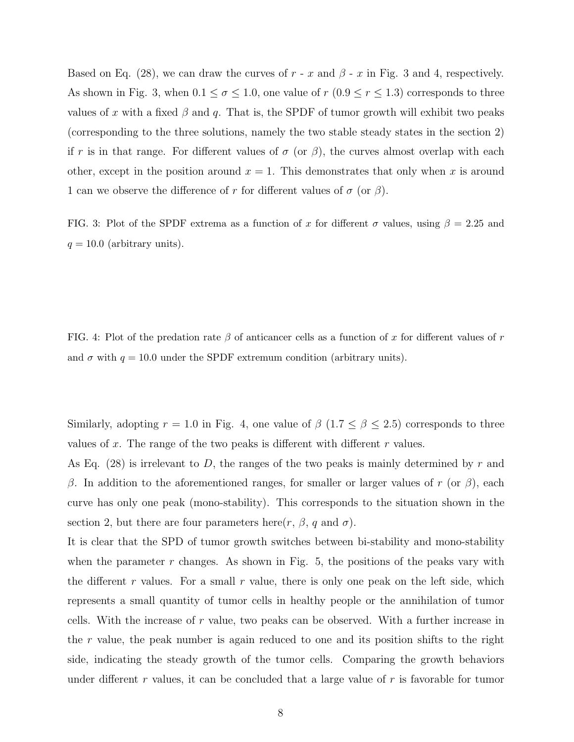Based on Eq. (28), we can draw the curves of  $r - x$  and  $\beta - x$  in Fig. 3 and 4, respectively. As shown in Fig. 3, when  $0.1 \le \sigma \le 1.0$ , one value of  $r$   $(0.9 \le r \le 1.3)$  corresponds to three values of x with a fixed  $\beta$  and q. That is, the SPDF of tumor growth will exhibit two peaks (corresponding to the three solutions, namely the two stable steady states in the section 2) if r is in that range. For different values of  $\sigma$  (or  $\beta$ ), the curves almost overlap with each other, except in the position around  $x = 1$ . This demonstrates that only when x is around 1 can we observe the difference of r for different values of  $\sigma$  (or  $\beta$ ).

FIG. 3: Plot of the SPDF extrema as a function of x for different  $\sigma$  values, using  $\beta = 2.25$  and  $q = 10.0$  (arbitrary units).

FIG. 4: Plot of the predation rate  $\beta$  of anticancer cells as a function of x for different values of r and  $\sigma$  with  $q = 10.0$  under the SPDF extremum condition (arbitrary units).

Similarly, adopting  $r = 1.0$  in Fig. 4, one value of  $\beta$  (1.7  $\leq \beta \leq 2.5$ ) corresponds to three values of x. The range of the two peaks is different with different  $r$  values.

As Eq.  $(28)$  is irrelevant to D, the ranges of the two peaks is mainly determined by r and β. In addition to the aforementioned ranges, for smaller or larger values of r (or  $β$ ), each curve has only one peak (mono-stability). This corresponds to the situation shown in the section 2, but there are four parameters here $(r, \beta, q \text{ and } \sigma)$ .

It is clear that the SPD of tumor growth switches between bi-stability and mono-stability when the parameter  $r$  changes. As shown in Fig. 5, the positions of the peaks vary with the different r values. For a small r value, there is only one peak on the left side, which represents a small quantity of tumor cells in healthy people or the annihilation of tumor cells. With the increase of r value, two peaks can be observed. With a further increase in the r value, the peak number is again reduced to one and its position shifts to the right side, indicating the steady growth of the tumor cells. Comparing the growth behaviors under different r values, it can be concluded that a large value of r is favorable for tumor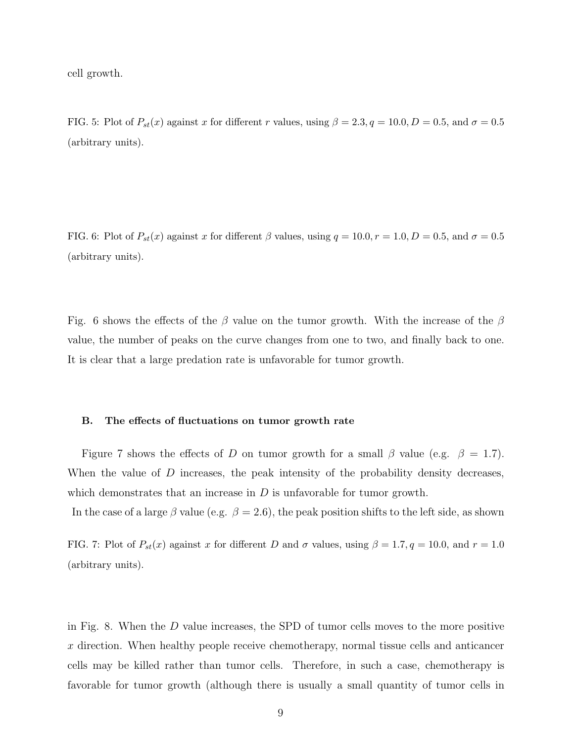cell growth.

FIG. 5: Plot of  $P_{st}(x)$  against x for different r values, using  $\beta = 2.3, q = 10.0, D = 0.5,$  and  $\sigma = 0.5$ (arbitrary units).

FIG. 6: Plot of  $P_{st}(x)$  against x for different  $\beta$  values, using  $q = 10.0, r = 1.0, D = 0.5$ , and  $\sigma = 0.5$ (arbitrary units).

Fig. 6 shows the effects of the  $\beta$  value on the tumor growth. With the increase of the  $\beta$ value, the number of peaks on the curve changes from one to two, and finally back to one. It is clear that a large predation rate is unfavorable for tumor growth.

#### B. The effects of fluctuations on tumor growth rate

Figure 7 shows the effects of D on tumor growth for a small  $\beta$  value (e.g.  $\beta = 1.7$ ). When the value of D increases, the peak intensity of the probability density decreases, which demonstrates that an increase in  $D$  is unfavorable for tumor growth.

In the case of a large  $\beta$  value (e.g.  $\beta = 2.6$ ), the peak position shifts to the left side, as shown

FIG. 7: Plot of  $P_{st}(x)$  against x for different D and  $\sigma$  values, using  $\beta = 1.7, q = 10.0$ , and  $r = 1.0$ (arbitrary units).

in Fig. 8. When the  $D$  value increases, the SPD of tumor cells moves to the more positive x direction. When healthy people receive chemotherapy, normal tissue cells and anticancer cells may be killed rather than tumor cells. Therefore, in such a case, chemotherapy is favorable for tumor growth (although there is usually a small quantity of tumor cells in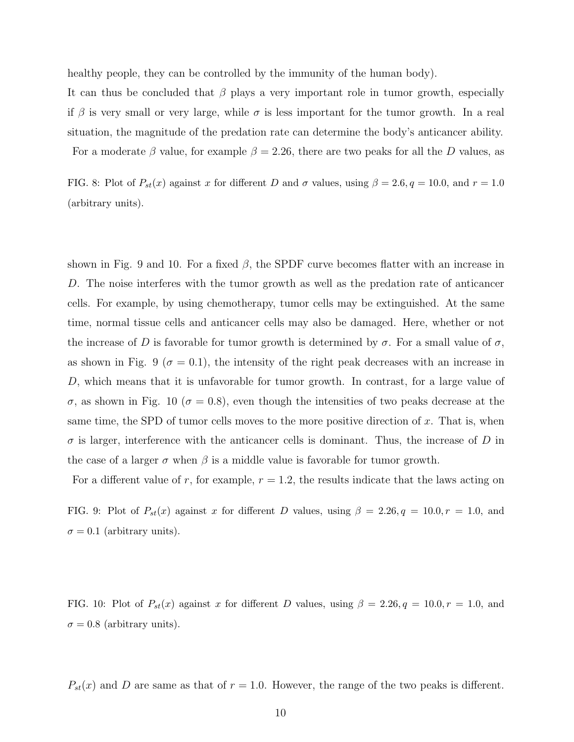healthy people, they can be controlled by the immunity of the human body).

It can thus be concluded that  $\beta$  plays a very important role in tumor growth, especially if  $\beta$  is very small or very large, while  $\sigma$  is less important for the tumor growth. In a real situation, the magnitude of the predation rate can determine the body's anticancer ability. For a moderate  $\beta$  value, for example  $\beta = 2.26$ , there are two peaks for all the D values, as

FIG. 8: Plot of  $P_{st}(x)$  against x for different D and  $\sigma$  values, using  $\beta = 2.6, q = 10.0,$  and  $r = 1.0$ (arbitrary units).

shown in Fig. 9 and 10. For a fixed  $\beta$ , the SPDF curve becomes flatter with an increase in D. The noise interferes with the tumor growth as well as the predation rate of anticancer cells. For example, by using chemotherapy, tumor cells may be extinguished. At the same time, normal tissue cells and anticancer cells may also be damaged. Here, whether or not the increase of D is favorable for tumor growth is determined by  $\sigma$ . For a small value of  $\sigma$ , as shown in Fig. 9 ( $\sigma = 0.1$ ), the intensity of the right peak decreases with an increase in D, which means that it is unfavorable for tumor growth. In contrast, for a large value of  $\sigma$ , as shown in Fig. 10 ( $\sigma = 0.8$ ), even though the intensities of two peaks decrease at the same time, the SPD of tumor cells moves to the more positive direction of x. That is, when  $\sigma$  is larger, interference with the anticancer cells is dominant. Thus, the increase of D in the case of a larger  $\sigma$  when  $\beta$  is a middle value is favorable for tumor growth.

For a different value of r, for example,  $r = 1.2$ , the results indicate that the laws acting on

FIG. 9: Plot of  $P_{st}(x)$  against x for different D values, using  $\beta = 2.26, q = 10.0, r = 1.0,$  and  $\sigma = 0.1$  (arbitrary units).

FIG. 10: Plot of  $P_{st}(x)$  against x for different D values, using  $\beta = 2.26, q = 10.0, r = 1.0,$  and  $\sigma = 0.8$  (arbitrary units).

 $P_{st}(x)$  and D are same as that of  $r = 1.0$ . However, the range of the two peaks is different.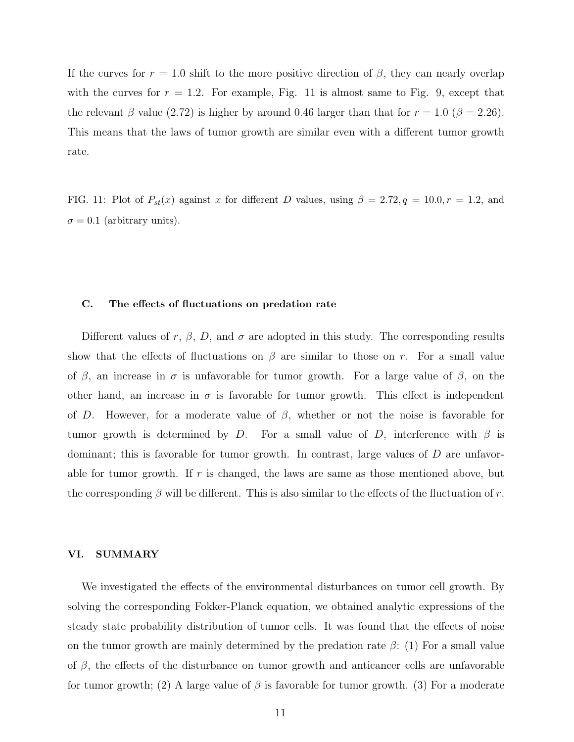If the curves for  $r = 1.0$  shift to the more positive direction of  $\beta$ , they can nearly overlap with the curves for  $r = 1.2$ . For example, Fig. 11 is almost same to Fig. 9, except that the relevant  $\beta$  value (2.72) is higher by around 0.46 larger than that for  $r = 1.0$  ( $\beta = 2.26$ ). This means that the laws of tumor growth are similar even with a different tumor growth rate.

FIG. 11: Plot of  $P_{st}(x)$  against x for different D values, using  $\beta = 2.72, q = 10.0, r = 1.2$ , and  $\sigma = 0.1$  (arbitrary units).

### C. The effects of fluctuations on predation rate

Different values of r,  $\beta$ , D, and  $\sigma$  are adopted in this study. The corresponding results show that the effects of fluctuations on  $\beta$  are similar to those on r. For a small value of  $\beta$ , an increase in  $\sigma$  is unfavorable for tumor growth. For a large value of  $\beta$ , on the other hand, an increase in  $\sigma$  is favorable for tumor growth. This effect is independent of D. However, for a moderate value of  $\beta$ , whether or not the noise is favorable for tumor growth is determined by D. For a small value of D, interference with  $\beta$  is dominant; this is favorable for tumor growth. In contrast, large values of  $D$  are unfavorable for tumor growth. If  $r$  is changed, the laws are same as those mentioned above, but the corresponding  $\beta$  will be different. This is also similar to the effects of the fluctuation of r.

#### VI. SUMMARY

We investigated the effects of the environmental disturbances on tumor cell growth. By solving the corresponding Fokker-Planck equation, we obtained analytic expressions of the steady state probability distribution of tumor cells. It was found that the effects of noise on the tumor growth are mainly determined by the predation rate  $\beta$ : (1) For a small value of  $\beta$ , the effects of the disturbance on tumor growth and anticancer cells are unfavorable for tumor growth; (2) A large value of  $\beta$  is favorable for tumor growth. (3) For a moderate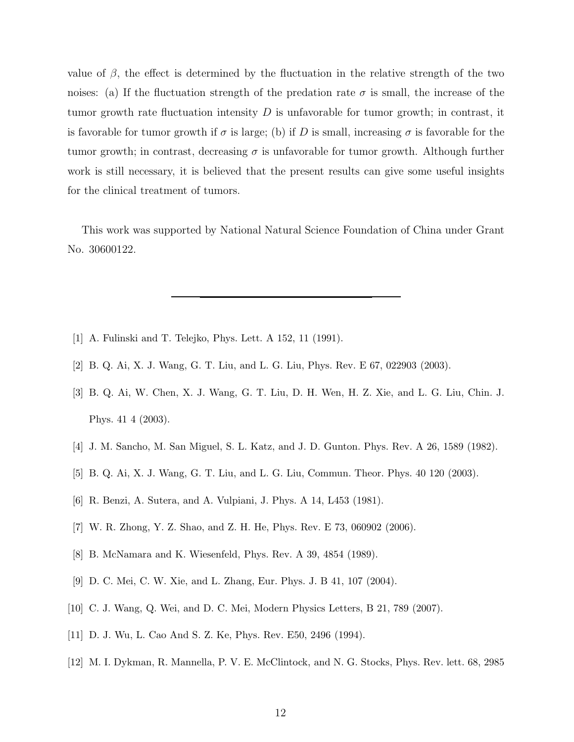value of  $\beta$ , the effect is determined by the fluctuation in the relative strength of the two noises: (a) If the fluctuation strength of the predation rate  $\sigma$  is small, the increase of the tumor growth rate fluctuation intensity  $D$  is unfavorable for tumor growth; in contrast, it is favorable for tumor growth if  $\sigma$  is large; (b) if D is small, increasing  $\sigma$  is favorable for the tumor growth; in contrast, decreasing  $\sigma$  is unfavorable for tumor growth. Although further work is still necessary, it is believed that the present results can give some useful insights for the clinical treatment of tumors.

This work was supported by National Natural Science Foundation of China under Grant No. 30600122.

- <span id="page-11-1"></span><span id="page-11-0"></span>[1] A. Fulinski and T. Telejko, Phys. Lett. A 152, 11 (1991).
- <span id="page-11-2"></span>[2] B. Q. Ai, X. J. Wang, G. T. Liu, and L. G. Liu, Phys. Rev. E 67, 022903 (2003).
- [3] B. Q. Ai, W. Chen, X. J. Wang, G. T. Liu, D. H. Wen, H. Z. Xie, and L. G. Liu, Chin. J. Phys. 41 4 (2003).
- <span id="page-11-3"></span>[4] J. M. Sancho, M. San Miguel, S. L. Katz, and J. D. Gunton. Phys. Rev. A 26, 1589 (1982).
- [5] B. Q. Ai, X. J. Wang, G. T. Liu, and L. G. Liu, Commun. Theor. Phys. 40 120 (2003).
- <span id="page-11-4"></span>[6] R. Benzi, A. Sutera, and A. Vulpiani, J. Phys. A 14, L453 (1981).
- <span id="page-11-6"></span>[7] W. R. Zhong, Y. Z. Shao, and Z. H. He, Phys. Rev. E 73, 060902 (2006).
- <span id="page-11-5"></span>[8] B. McNamara and K. Wiesenfeld, Phys. Rev. A 39, 4854 (1989).
- <span id="page-11-7"></span>[9] D. C. Mei, C. W. Xie, and L. Zhang, Eur. Phys. J. B 41, 107 (2004).
- [10] C. J. Wang, Q. Wei, and D. C. Mei, Modern Physics Letters, B 21, 789 (2007).
- [11] D. J. Wu, L. Cao And S. Z. Ke, Phys. Rev. E50, 2496 (1994).
- [12] M. I. Dykman, R. Mannella, P. V. E. McClintock, and N. G. Stocks, Phys. Rev. lett. 68, 2985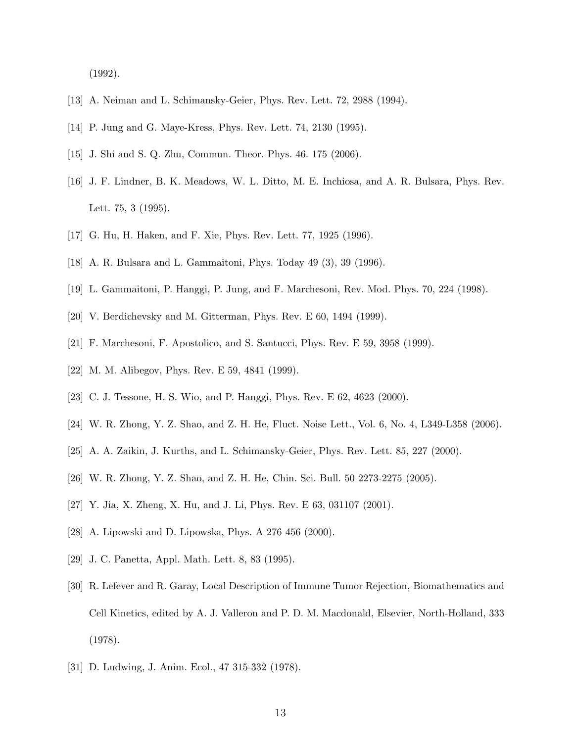(1992).

- [13] A. Neiman and L. Schimansky-Geier, Phys. Rev. Lett. 72, 2988 (1994).
- [14] P. Jung and G. Maye-Kress, Phys. Rev. Lett. 74, 2130 (1995).
- [15] J. Shi and S. Q. Zhu, Commun. Theor. Phys. 46. 175 (2006).
- [16] J. F. Lindner, B. K. Meadows, W. L. Ditto, M. E. Inchiosa, and A. R. Bulsara, Phys. Rev. Lett. 75, 3 (1995).
- [17] G. Hu, H. Haken, and F. Xie, Phys. Rev. Lett. 77, 1925 (1996).
- [18] A. R. Bulsara and L. Gammaitoni, Phys. Today 49 (3), 39 (1996).
- [19] L. Gammaitoni, P. Hanggi, P. Jung, and F. Marchesoni, Rev. Mod. Phys. 70, 224 (1998).
- [20] V. Berdichevsky and M. Gitterman, Phys. Rev. E 60, 1494 (1999).
- [21] F. Marchesoni, F. Apostolico, and S. Santucci, Phys. Rev. E 59, 3958 (1999).
- [22] M. M. Alibegov, Phys. Rev. E 59, 4841 (1999).
- [23] C. J. Tessone, H. S. Wio, and P. Hanggi, Phys. Rev. E 62, 4623 (2000).
- [24] W. R. Zhong, Y. Z. Shao, and Z. H. He, Fluct. Noise Lett., Vol. 6, No. 4, L349-L358 (2006).
- <span id="page-12-3"></span>[25] A. A. Zaikin, J. Kurths, and L. Schimansky-Geier, Phys. Rev. Lett. 85, 227 (2000).
- <span id="page-12-0"></span>[26] W. R. Zhong, Y. Z. Shao, and Z. H. He, Chin. Sci. Bull. 50 2273-2275 (2005).
- <span id="page-12-1"></span>[27] Y. Jia, X. Zheng, X. Hu, and J. Li, Phys. Rev. E 63, 031107 (2001).
- <span id="page-12-2"></span>[28] A. Lipowski and D. Lipowska, Phys. A 276 456 (2000).
- <span id="page-12-4"></span>[29] J. C. Panetta, Appl. Math. Lett. 8, 83 (1995).
- [30] R. Lefever and R. Garay, Local Description of Immune Tumor Rejection, Biomathematics and Cell Kinetics, edited by A. J. Valleron and P. D. M. Macdonald, Elsevier, North-Holland, 333 (1978).
- [31] D. Ludwing, J. Anim. Ecol., 47 315-332 (1978).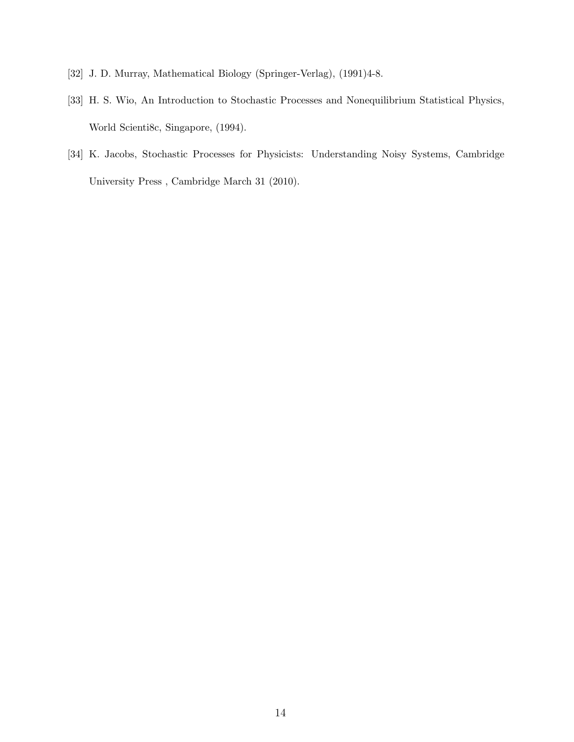- <span id="page-13-0"></span>[32] J. D. Murray, Mathematical Biology (Springer-Verlag), (1991)4-8.
- [33] H. S. Wio, An Introduction to Stochastic Processes and Nonequilibrium Statistical Physics, World Scienti8c, Singapore, (1994).
- [34] K. Jacobs, Stochastic Processes for Physicists: Understanding Noisy Systems, Cambridge University Press , Cambridge March 31 (2010).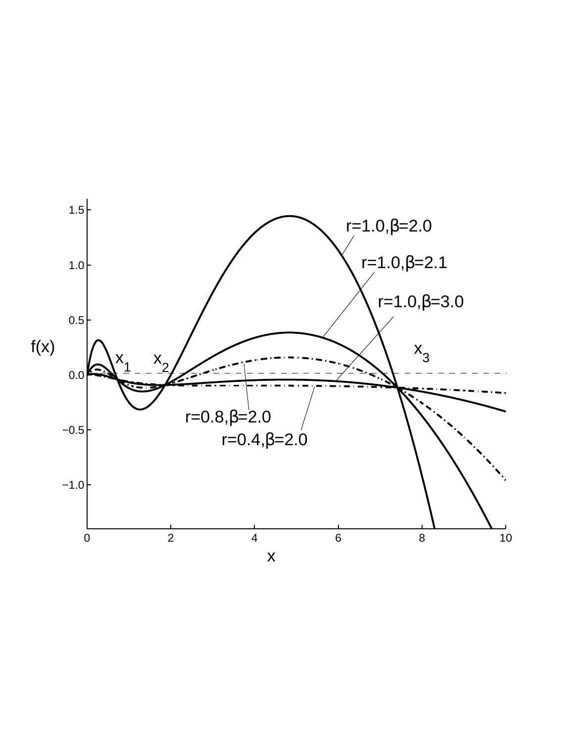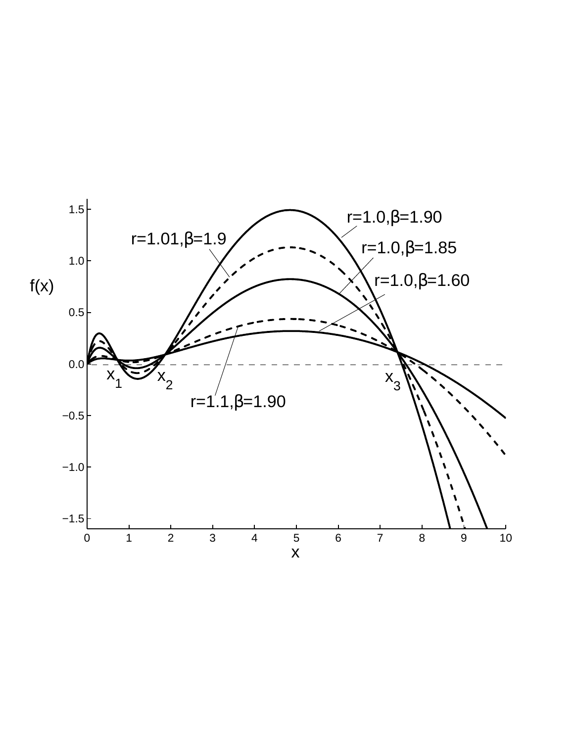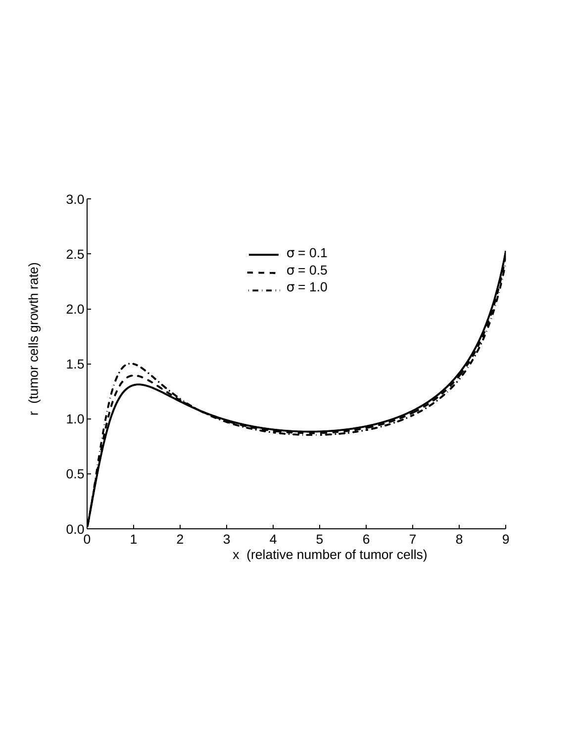

r (tumor cells growth rate) r (tumor cells growth rate)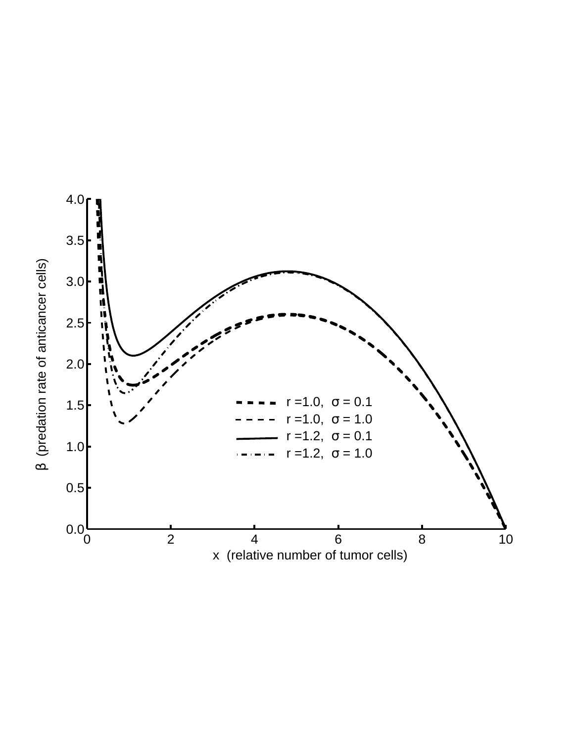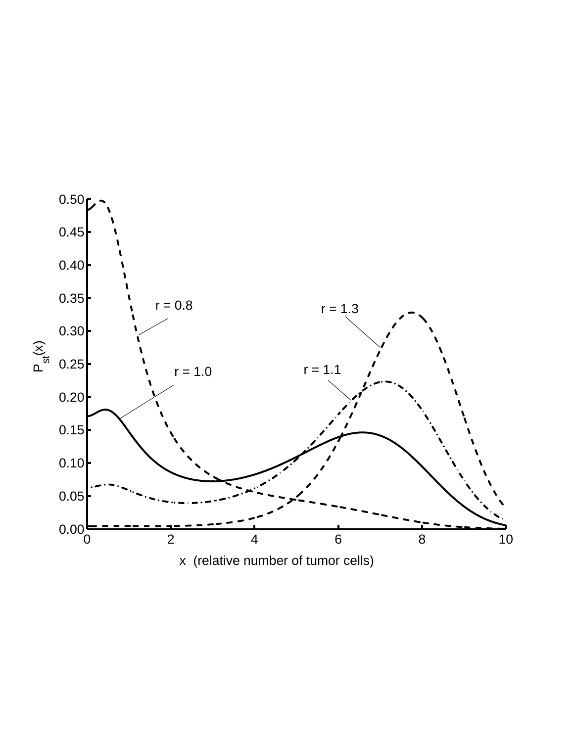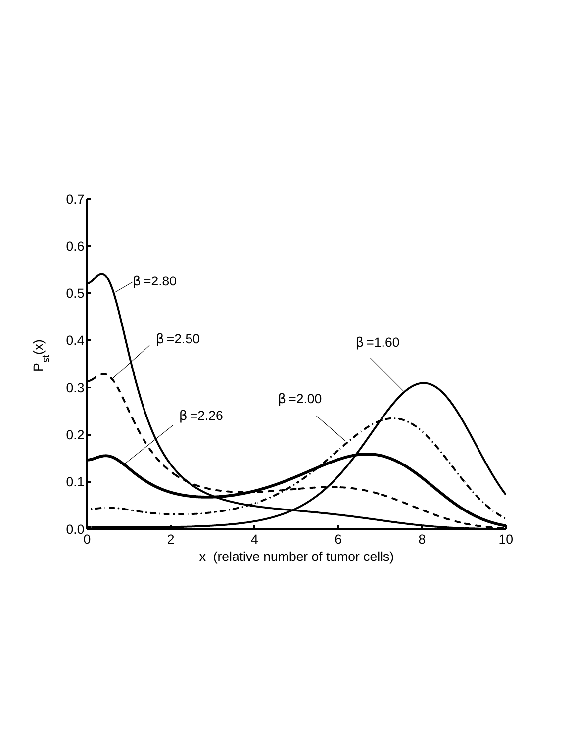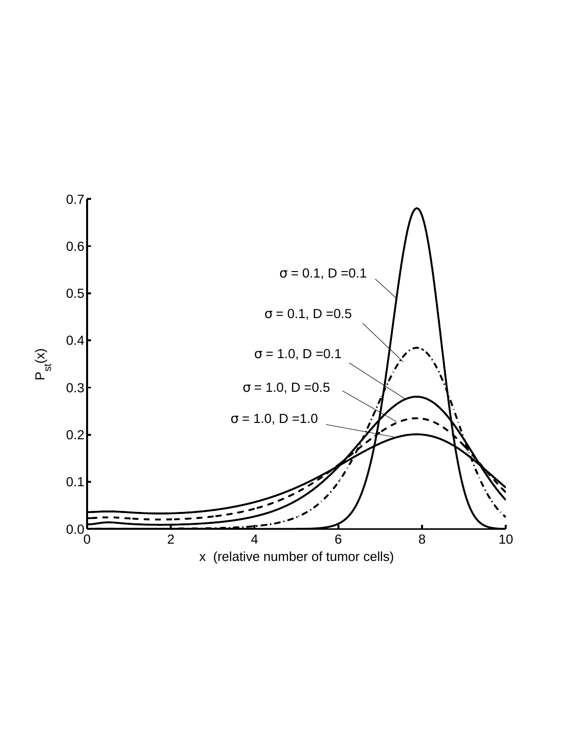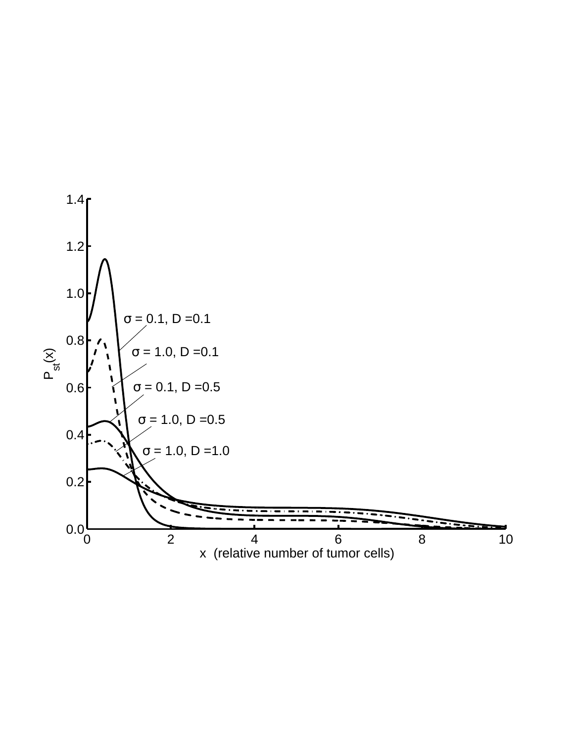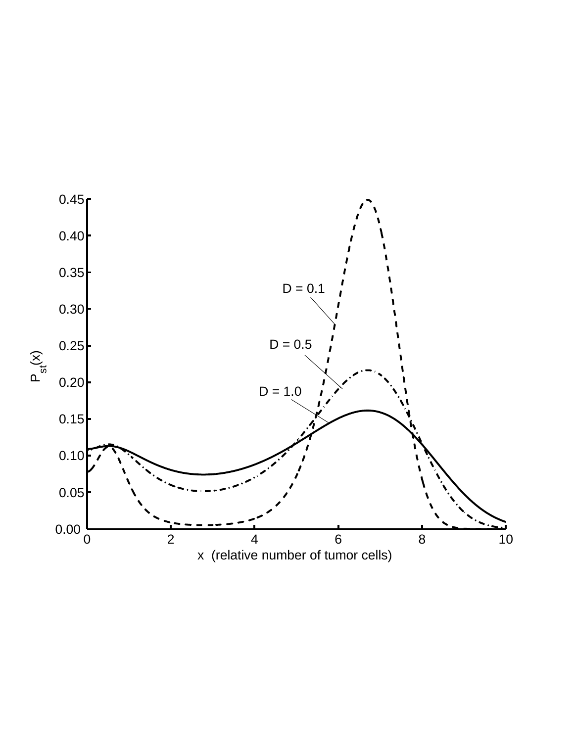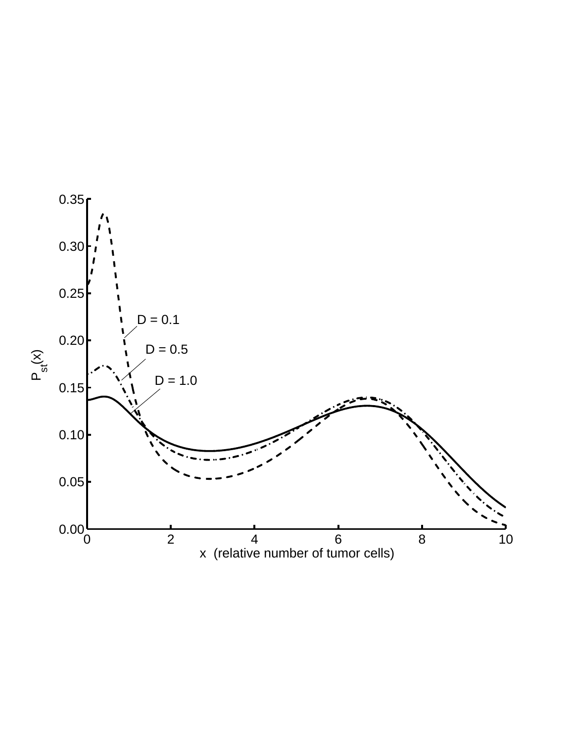